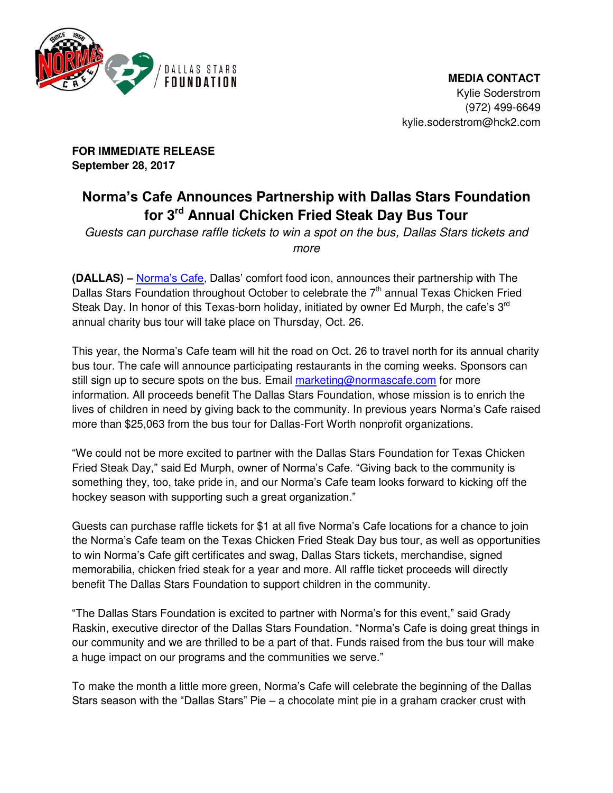

 **MEDIA CONTACT**  Kylie Soderstrom (972) 499-6649 kylie.soderstrom@hck2.com

**FOR IMMEDIATE RELEASE September 28, 2017** 

## **Norma's Cafe Announces Partnership with Dallas Stars Foundation for 3rd Annual Chicken Fried Steak Day Bus Tour**

*Guests can purchase raffle tickets to win a spot on the bus, Dallas Stars tickets and more* 

**(DALLAS) –** [Norma's Cafe](http://normascafe.com/), Dallas' comfort food icon, announces their partnership with The Dallas Stars Foundation throughout October to celebrate the  $7<sup>th</sup>$  annual Texas Chicken Fried Steak Day. In honor of this Texas-born holiday, initiated by owner Ed Murph, the cafe's  $3^{\text{rd}}$ annual charity bus tour will take place on Thursday, Oct. 26.

This year, the Norma's Cafe team will hit the road on Oct. 26 to travel north for its annual charity bus tour. The cafe will announce participating restaurants in the coming weeks. Sponsors can still sign up to secure spots on the bus. Email [marketing@normascafe.com](mailto:marketing@normascafe.com) for more information. All proceeds benefit The Dallas Stars Foundation, whose mission is to enrich the lives of children in need by giving back to the community. In previous years Norma's Cafe raised more than \$25,063 from the bus tour for Dallas-Fort Worth nonprofit organizations.

"We could not be more excited to partner with the Dallas Stars Foundation for Texas Chicken Fried Steak Day," said Ed Murph, owner of Norma's Cafe. "Giving back to the community is something they, too, take pride in, and our Norma's Cafe team looks forward to kicking off the hockey season with supporting such a great organization."

Guests can purchase raffle tickets for \$1 at all five Norma's Cafe locations for a chance to join the Norma's Cafe team on the Texas Chicken Fried Steak Day bus tour, as well as opportunities to win Norma's Cafe gift certificates and swag, Dallas Stars tickets, merchandise, signed memorabilia, chicken fried steak for a year and more. All raffle ticket proceeds will directly benefit The Dallas Stars Foundation to support children in the community.

"The Dallas Stars Foundation is excited to partner with Norma's for this event," said Grady Raskin, executive director of the Dallas Stars Foundation. "Norma's Cafe is doing great things in our community and we are thrilled to be a part of that. Funds raised from the bus tour will make a huge impact on our programs and the communities we serve."

To make the month a little more green, Norma's Cafe will celebrate the beginning of the Dallas Stars season with the "Dallas Stars" Pie – a chocolate mint pie in a graham cracker crust with